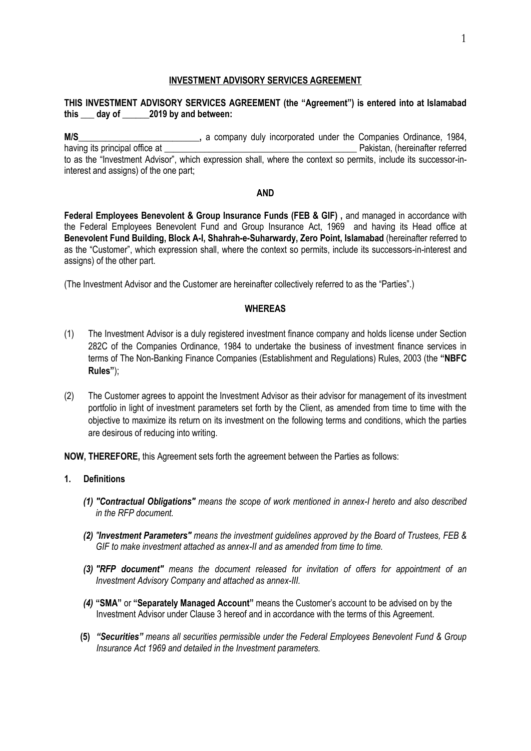#### **INVESTMENT ADVISORY SERVICES AGREEMENT**

## **THIS INVESTMENT ADVISORY SERVICES AGREEMENT (the "Agreement") is entered into at Islamabad this \_\_\_ day of \_\_\_\_\_\_2019 by and between:**

**M/S\_\_\_\_\_\_\_\_\_\_\_\_\_\_\_\_\_\_\_\_\_\_\_\_\_\_\_,** a company duly incorporated under the Companies Ordinance, 1984, having its principal office at  $\Box$   $\Box$  Pakistan, (hereinafter referred to as the "Investment Advisor", which expression shall, where the context so permits, include its successor-ininterest and assigns) of the one part;

#### **AND**

Federal Employees Benevolent & Group Insurance Funds (FEB & GIF), and managed in accordance with the Federal Employees Benevolent Fund and Group Insurance Act, 1969 and having its Head office at **Benevolent Fund Building, Block A-I, Shahrah-e-Suharwardy, Zero Point, Islamabad** (hereinafter referred to as the "Customer", which expression shall, where the context so permits, include its successors-in-interest and assigns) of the other part.

(The Investment Advisor and the Customer are hereinafter collectively referred to as the "Parties".)

#### **WHEREAS**

- (1) The Investment Advisor is a duly registered investment finance company and holds license under Section 282C of the Companies Ordinance, 1984 to undertake the business of investment finance services in terms of The Non-Banking Finance Companies (Establishment and Regulations) Rules, 2003 (the **"NBFC Rules"**);
- (2) The Customer agrees to appoint the Investment Advisor as their advisor for management of its investment portfolio in light of investment parameters set forth by the Client, as amended from time to time with the objective to maximize its return on its investment on the following terms and conditions, which the parties are desirous of reducing into writing.

**NOW, THEREFORE,** this Agreement sets forth the agreement between the Parties as follows:

- **1. Definitions**
	- *(1) "Contractual Obligations" means the scope of work mentioned in annex-I hereto and also described in the RFP document.*
	- *(2) "Investment Parameters" means the investment guidelines approved by the Board of Trustees, FEB & GIF to make investment attached as annex-II and as amended from time to time.*
	- *(3) "RFP document" means the document released for invitation of offers for appointment of an Investment Advisory Company and attached as annex-III.*
	- *(4)* **"SMA"** or **"Separately Managed Account"** means the Customer's account to be advised on by the Investment Advisor under Clause 3 hereof and in accordance with the terms of this Agreement.
	- **(5)** *"Securities" means all securities permissible under the Federal Employees Benevolent Fund & Group Insurance Act 1969 and detailed in the Investment parameters.*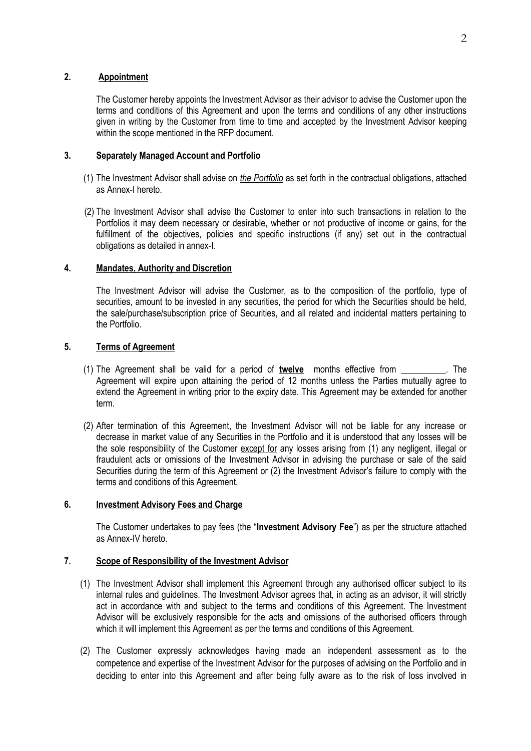## **2. Appointment**

The Customer hereby appoints the Investment Advisor as their advisor to advise the Customer upon the terms and conditions of this Agreement and upon the terms and conditions of any other instructions given in writing by the Customer from time to time and accepted by the Investment Advisor keeping within the scope mentioned in the RFP document.

## **3. Separately Managed Account and Portfolio**

- (1) The Investment Advisor shall advise on *the Portfolio* as set forth in the contractual obligations, attached as Annex-I hereto.
- (2) The Investment Advisor shall advise the Customer to enter into such transactions in relation to the Portfolios it may deem necessary or desirable, whether or not productive of income or gains, for the fulfillment of the objectives, policies and specific instructions (if any) set out in the contractual obligations as detailed in annex-I.

## **4. Mandates, Authority and Discretion**

The Investment Advisor will advise the Customer, as to the composition of the portfolio, type of securities, amount to be invested in any securities, the period for which the Securities should be held, the sale/purchase/subscription price of Securities, and all related and incidental matters pertaining to the Portfolio.

## **5. Terms of Agreement**

- (1) The Agreement shall be valid for a period of **twelve** months effective from \_\_\_\_\_\_\_\_\_\_. The Agreement will expire upon attaining the period of 12 months unless the Parties mutually agree to extend the Agreement in writing prior to the expiry date. This Agreement may be extended for another term.
- (2) After termination of this Agreement, the Investment Advisor will not be liable for any increase or decrease in market value of any Securities in the Portfolio and it is understood that any losses will be the sole responsibility of the Customer except for any losses arising from (1) any negligent, illegal or fraudulent acts or omissions of the Investment Advisor in advising the purchase or sale of the said Securities during the term of this Agreement or (2) the Investment Advisor's failure to comply with the terms and conditions of this Agreement.

## **6. Investment Advisory Fees and Charge**

The Customer undertakes to pay fees (the "**Investment Advisory Fee**") as per the structure attached as Annex-IV hereto.

## **7. Scope of Responsibility of the Investment Advisor**

- (1) The Investment Advisor shall implement this Agreement through any authorised officer subject to its internal rules and guidelines. The Investment Advisor agrees that, in acting as an advisor, it will strictly act in accordance with and subject to the terms and conditions of this Agreement. The Investment Advisor will be exclusively responsible for the acts and omissions of the authorised officers through which it will implement this Agreement as per the terms and conditions of this Agreement.
- (2) The Customer expressly acknowledges having made an independent assessment as to the competence and expertise of the Investment Advisor for the purposes of advising on the Portfolio and in deciding to enter into this Agreement and after being fully aware as to the risk of loss involved in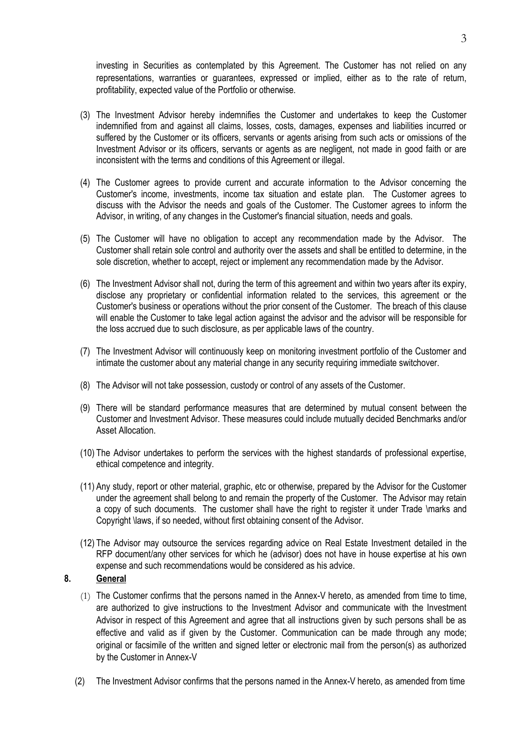investing in Securities as contemplated by this Agreement. The Customer has not relied on any representations, warranties or guarantees, expressed or implied, either as to the rate of return, profitability, expected value of the Portfolio or otherwise.

- (3) The Investment Advisor hereby indemnifies the Customer and undertakes to keep the Customer indemnified from and against all claims, losses, costs, damages, expenses and liabilities incurred or suffered by the Customer or its officers, servants or agents arising from such acts or omissions of the Investment Advisor or its officers, servants or agents as are negligent, not made in good faith or are inconsistent with the terms and conditions of this Agreement or illegal.
- (4) The Customer agrees to provide current and accurate information to the Advisor concerning the Customer's income, investments, income tax situation and estate plan. The Customer agrees to discuss with the Advisor the needs and goals of the Customer. The Customer agrees to inform the Advisor, in writing, of any changes in the Customer's financial situation, needs and goals.
- (5) The Customer will have no obligation to accept any recommendation made by the Advisor. The Customer shall retain sole control and authority over the assets and shall be entitled to determine, in the sole discretion, whether to accept, reject or implement any recommendation made by the Advisor.
- (6) The Investment Advisor shall not, during the term of this agreement and within two years after its expiry, disclose any proprietary or confidential information related to the services, this agreement or the Customer's business or operations without the prior consent of the Customer. The breach of this clause will enable the Customer to take legal action against the advisor and the advisor will be responsible for the loss accrued due to such disclosure, as per applicable laws of the country.
- (7) The Investment Advisor will continuously keep on monitoring investment portfolio of the Customer and intimate the customer about any material change in any security requiring immediate switchover.
- (8) The Advisor will not take possession, custody or control of any assets of the Customer.
- (9) There will be standard performance measures that are determined by mutual consent between the Customer and Investment Advisor. These measures could include mutually decided Benchmarks and/or Asset Allocation.
- (10) The Advisor undertakes to perform the services with the highest standards of professional expertise, ethical competence and integrity.
- (11) Any study, report or other material, graphic, etc or otherwise, prepared by the Advisor for the Customer under the agreement shall belong to and remain the property of the Customer. The Advisor may retain a copy of such documents. The customer shall have the right to register it under Trade \marks and Copyright \laws, if so needed, without first obtaining consent of the Advisor.
- (12) The Advisor may outsource the services regarding advice on Real Estate Investment detailed in the RFP document/any other services for which he (advisor) does not have in house expertise at his own expense and such recommendations would be considered as his advice.

### **8. General**

- (1) The Customer confirms that the persons named in the Annex-V hereto, as amended from time to time, are authorized to give instructions to the Investment Advisor and communicate with the Investment Advisor in respect of this Agreement and agree that all instructions given by such persons shall be as effective and valid as if given by the Customer. Communication can be made through any mode; original or facsimile of the written and signed letter or electronic mail from the person(s) as authorized by the Customer in Annex-V
- (2) The Investment Advisor confirms that the persons named in the Annex-V hereto, as amended from time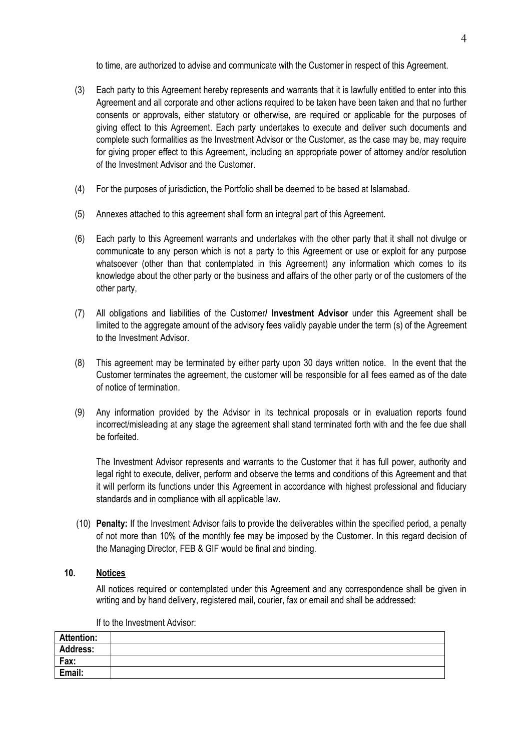to time, are authorized to advise and communicate with the Customer in respect of this Agreement.

- (3) Each party to this Agreement hereby represents and warrants that it is lawfully entitled to enter into this Agreement and all corporate and other actions required to be taken have been taken and that no further consents or approvals, either statutory or otherwise, are required or applicable for the purposes of giving effect to this Agreement. Each party undertakes to execute and deliver such documents and complete such formalities as the Investment Advisor or the Customer, as the case may be, may require for giving proper effect to this Agreement, including an appropriate power of attorney and/or resolution of the Investment Advisor and the Customer.
- (4) For the purposes of jurisdiction, the Portfolio shall be deemed to be based at Islamabad.
- (5) Annexes attached to this agreement shall form an integral part of this Agreement.
- (6) Each party to this Agreement warrants and undertakes with the other party that it shall not divulge or communicate to any person which is not a party to this Agreement or use or exploit for any purpose whatsoever (other than that contemplated in this Agreement) any information which comes to its knowledge about the other party or the business and affairs of the other party or of the customers of the other party,
- (7) All obligations and liabilities of the Customer**/ Investment Advisor** under this Agreement shall be limited to the aggregate amount of the advisory fees validly payable under the term (s) of the Agreement to the Investment Advisor.
- (8) This agreement may be terminated by either party upon 30 days written notice. In the event that the Customer terminates the agreement, the customer will be responsible for all fees earned as of the date of notice of termination.
- (9) Any information provided by the Advisor in its technical proposals or in evaluation reports found incorrect/misleading at any stage the agreement shall stand terminated forth with and the fee due shall be forfeited.

The Investment Advisor represents and warrants to the Customer that it has full power, authority and legal right to execute, deliver, perform and observe the terms and conditions of this Agreement and that it will perform its functions under this Agreement in accordance with highest professional and fiduciary standards and in compliance with all applicable law.

(10) **Penalty:** If the Investment Advisor fails to provide the deliverables within the specified period, a penalty of not more than 10% of the monthly fee may be imposed by the Customer. In this regard decision of the Managing Director, FEB & GIF would be final and binding.

## **10. Notices**

All notices required or contemplated under this Agreement and any correspondence shall be given in writing and by hand delivery, registered mail, courier, fax or email and shall be addressed:

| <b>Attention:</b> |  |
|-------------------|--|
| <b>Address:</b>   |  |
| Fax:              |  |
| Email:            |  |

If to the Investment Advisor: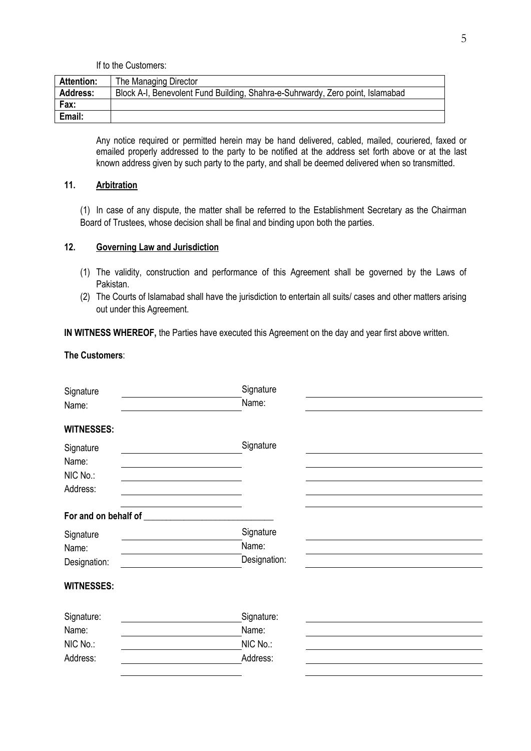If to the Customers:

| <b>Attention:</b> | The Managing Director                                                          |
|-------------------|--------------------------------------------------------------------------------|
| <b>Address:</b>   | Block A-I, Benevolent Fund Building, Shahra-e-Suhrwardy, Zero point, Islamabad |
| Fax:              |                                                                                |
| Email:            |                                                                                |

Any notice required or permitted herein may be hand delivered, cabled, mailed, couriered, faxed or emailed properly addressed to the party to be notified at the address set forth above or at the last known address given by such party to the party, and shall be deemed delivered when so transmitted.

## **11. Arbitration**

(1) In case of any dispute, the matter shall be referred to the Establishment Secretary as the Chairman Board of Trustees, whose decision shall be final and binding upon both the parties.

#### **12. Governing Law and Jurisdiction**

- (1) The validity, construction and performance of this Agreement shall be governed by the Laws of Pakistan.
- (2) The Courts of Islamabad shall have the jurisdiction to entertain all suits/ cases and other matters arising out under this Agreement.

**IN WITNESS WHEREOF,** the Parties have executed this Agreement on the day and year first above written.

**The Customers**:

| Signature                     | Signature    |
|-------------------------------|--------------|
| Name:                         | Name:        |
| <b>WITNESSES:</b>             |              |
| Signature                     | Signature    |
| Name:                         |              |
| NIC No.:                      |              |
| Address:                      |              |
|                               |              |
| For and on behalf of ________ |              |
| Signature                     | Signature    |
| Name:                         | Name:        |
| Designation:                  | Designation: |
| <b>WITNESSES:</b>             |              |
| Signature:                    | Signature:   |
| Name:                         | Name:        |
| NIC No.:                      | NIC No.:     |
| Address:                      | Address:     |
|                               |              |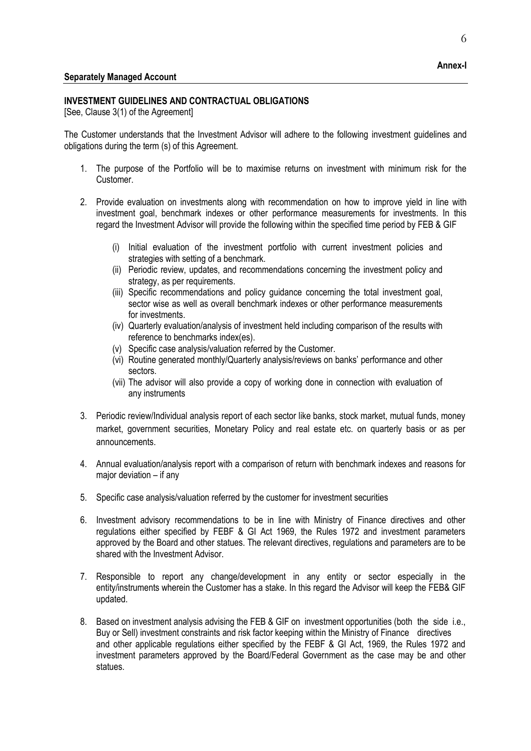## **INVESTMENT GUIDELINES AND CONTRACTUAL OBLIGATIONS**

[See, Clause 3(1) of the Agreement]

The Customer understands that the Investment Advisor will adhere to the following investment guidelines and obligations during the term (s) of this Agreement.

- 1. The purpose of the Portfolio will be to maximise returns on investment with minimum risk for the Customer.
- 2. Provide evaluation on investments along with recommendation on how to improve yield in line with investment goal, benchmark indexes or other performance measurements for investments. In this regard the Investment Advisor will provide the following within the specified time period by FEB & GIF
	- (i) Initial evaluation of the investment portfolio with current investment policies and strategies with setting of a benchmark.
	- (ii) Periodic review, updates, and recommendations concerning the investment policy and strategy, as per requirements.
	- (iii) Specific recommendations and policy guidance concerning the total investment goal, sector wise as well as overall benchmark indexes or other performance measurements for investments.
	- (iv) Quarterly evaluation/analysis of investment held including comparison of the results with reference to benchmarks index(es).
	- (v) Specific case analysis/valuation referred by the Customer.
	- (vi) Routine generated monthly/Quarterly analysis/reviews on banks' performance and other sectors.
	- (vii) The advisor will also provide a copy of working done in connection with evaluation of any instruments
- 3. Periodic review/Individual analysis report of each sector like banks, stock market, mutual funds, money market, government securities, Monetary Policy and real estate etc. on quarterly basis or as per announcements.
- 4. Annual evaluation/analysis report with a comparison of return with benchmark indexes and reasons for major deviation – if any
- 5. Specific case analysis/valuation referred by the customer for investment securities
- 6. Investment advisory recommendations to be in line with Ministry of Finance directives and other regulations either specified by FEBF & GI Act 1969, the Rules 1972 and investment parameters approved by the Board and other statues. The relevant directives, regulations and parameters are to be shared with the Investment Advisor.
- 7. Responsible to report any change/development in any entity or sector especially in the entity/instruments wherein the Customer has a stake. In this regard the Advisor will keep the FEB& GIF updated.
- 8. Based on investment analysis advising the FEB & GIF on investment opportunities (both the side i.e., Buy or Sell) investment constraints and risk factor keeping within the Ministry of Finance directives and other applicable regulations either specified by the FEBF & GI Act, 1969, the Rules 1972 and investment parameters approved by the Board/Federal Government as the case may be and other statues.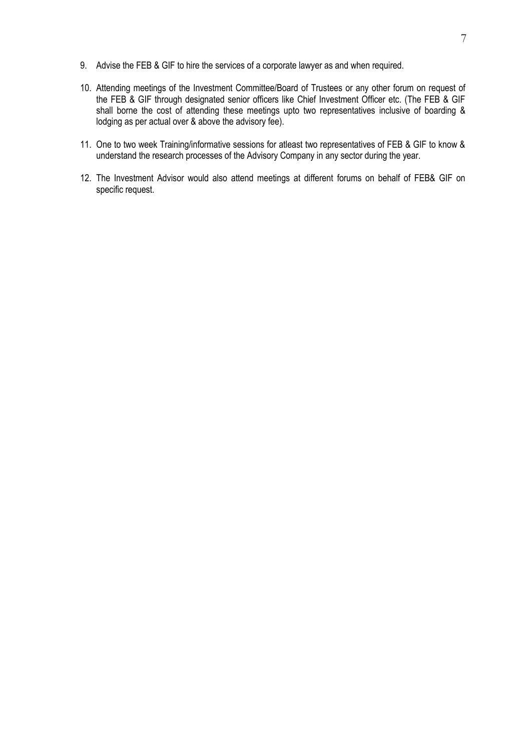- 9. Advise the FEB & GIF to hire the services of a corporate lawyer as and when required.
- 10. Attending meetings of the Investment Committee/Board of Trustees or any other forum on request of the FEB & GIF through designated senior officers like Chief Investment Officer etc. (The FEB & GIF shall borne the cost of attending these meetings upto two representatives inclusive of boarding & lodging as per actual over & above the advisory fee).
- 11. One to two week Training/informative sessions for atleast two representatives of FEB & GIF to know & understand the research processes of the Advisory Company in any sector during the year.
- 12. The Investment Advisor would also attend meetings at different forums on behalf of FEB& GIF on specific request.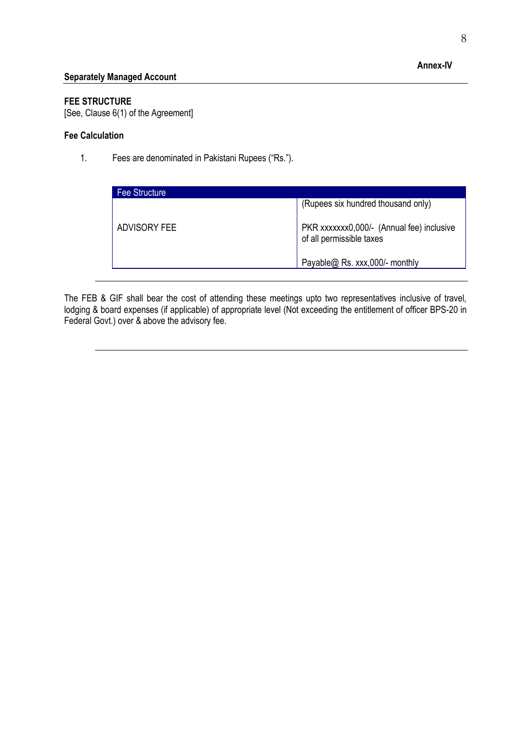## **FEE STRUCTURE**

[See, Clause 6(1) of the Agreement]

## **Fee Calculation**

1. Fees are denominated in Pakistani Rupees ("Rs.").

| Fee Structure |                                                                      |
|---------------|----------------------------------------------------------------------|
|               | (Rupees six hundred thousand only)                                   |
| ADVISORY FEE  | PKR xxxxxx0,000/- (Annual fee) inclusive<br>of all permissible taxes |
|               | Payable@ Rs. xxx,000/- monthly                                       |

The FEB & GIF shall bear the cost of attending these meetings upto two representatives inclusive of travel, lodging & board expenses (if applicable) of appropriate level (Not exceeding the entitlement of officer BPS-20 in Federal Govt.) over & above the advisory fee.

# **Annex-IV**